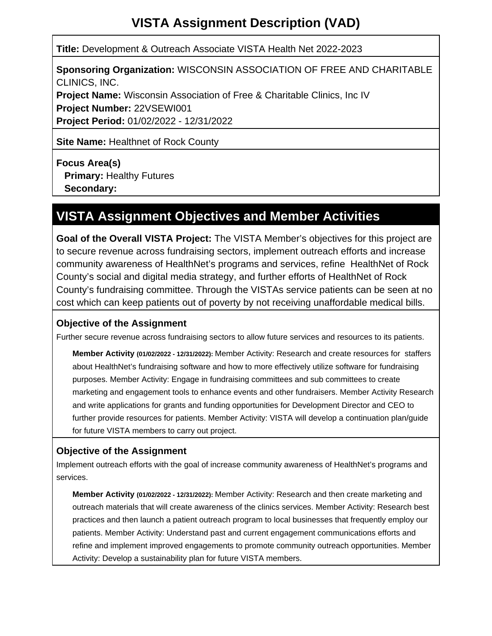# **VISTA Assignment Description (VAD)**

**Title:** Development & Outreach Associate VISTA Health Net 2022-2023

**Sponsoring Organization:** WISCONSIN ASSOCIATION OF FREE AND CHARITABLE CLINICS, INC. **Project Name:** Wisconsin Association of Free & Charitable Clinics, Inc IV **Project Number:** 22VSEWI001 **Project Period:** 01/02/2022 - 12/31/2022

**Site Name: Healthnet of Rock County** 

**Focus Area(s) Primary: Healthy Futures** 

 **Secondary:**

# **VISTA Assignment Objectives and Member Activities**

**Goal of the Overall VISTA Project:** The VISTA Member's objectives for this project are to secure revenue across fundraising sectors, implement outreach efforts and increase community awareness of HealthNet's programs and services, refine HealthNet of Rock County's social and digital media strategy, and further efforts of HealthNet of Rock County's fundraising committee. Through the VISTAs service patients can be seen at no cost which can keep patients out of poverty by not receiving unaffordable medical bills.

### **Objective of the Assignment**

Further secure revenue across fundraising sectors to allow future services and resources to its patients.

**Member Activity (01/02/2022 - 12/31/2022):** Member Activity: Research and create resources for staffers about HealthNet's fundraising software and how to more effectively utilize software for fundraising purposes. Member Activity: Engage in fundraising committees and sub committees to create marketing and engagement tools to enhance events and other fundraisers. Member Activity Research and write applications for grants and funding opportunities for Development Director and CEO to further provide resources for patients. Member Activity: VISTA will develop a continuation plan/guide for future VISTA members to carry out project.

## **Objective of the Assignment**

Implement outreach efforts with the goal of increase community awareness of HealthNet's programs and services.

**Member Activity (01/02/2022 - 12/31/2022):** Member Activity: Research and then create marketing and outreach materials that will create awareness of the clinics services. Member Activity: Research best practices and then launch a patient outreach program to local businesses that frequently employ our patients. Member Activity: Understand past and current engagement communications efforts and refine and implement improved engagements to promote community outreach opportunities. Member Activity: Develop a sustainability plan for future VISTA members.